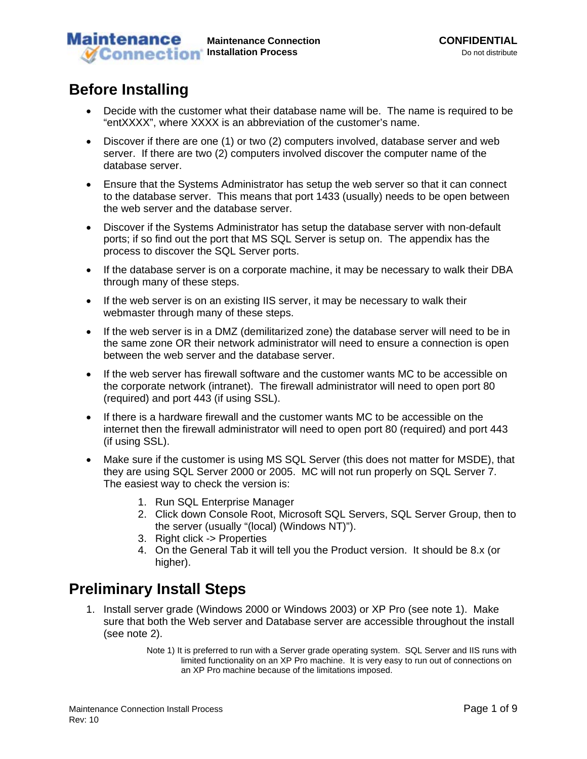#### **Maintenance Maintenance Connection CONFIDENTIAL**<br> **Installation Process** Connection CONFIDENTIAL *M* Connection Installation Process

# **Before Installing**

- Decide with the customer what their database name will be. The name is required to be "entXXXX", where XXXX is an abbreviation of the customer's name.
- Discover if there are one (1) or two (2) computers involved, database server and web server. If there are two (2) computers involved discover the computer name of the database server.
- Ensure that the Systems Administrator has setup the web server so that it can connect to the database server. This means that port 1433 (usually) needs to be open between the web server and the database server.
- Discover if the Systems Administrator has setup the database server with non-default ports; if so find out the port that MS SQL Server is setup on. The appendix has the process to discover the SQL Server ports.
- If the database server is on a corporate machine, it may be necessary to walk their DBA through many of these steps.
- If the web server is on an existing IIS server, it may be necessary to walk their webmaster through many of these steps.
- If the web server is in a DMZ (demilitarized zone) the database server will need to be in the same zone OR their network administrator will need to ensure a connection is open between the web server and the database server.
- If the web server has firewall software and the customer wants MC to be accessible on the corporate network (intranet). The firewall administrator will need to open port 80 (required) and port 443 (if using SSL).
- If there is a hardware firewall and the customer wants MC to be accessible on the internet then the firewall administrator will need to open port 80 (required) and port 443 (if using SSL).
- Make sure if the customer is using MS SQL Server (this does not matter for MSDE), that they are using SQL Server 2000 or 2005. MC will not run properly on SQL Server 7. The easiest way to check the version is:
	- 1. Run SQL Enterprise Manager
	- 2. Click down Console Root, Microsoft SQL Servers, SQL Server Group, then to the server (usually "(local) (Windows NT)").
	- 3. Right click -> Properties
	- 4. On the General Tab it will tell you the Product version. It should be 8.x (or higher).

# **Preliminary Install Steps**

- 1. Install server grade (Windows 2000 or Windows 2003) or XP Pro (see note 1). Make sure that both the Web server and Database server are accessible throughout the install (see note 2).
	- Note 1) It is preferred to run with a Server grade operating system. SQL Server and IIS runs with limited functionality on an XP Pro machine. It is very easy to run out of connections on an XP Pro machine because of the limitations imposed.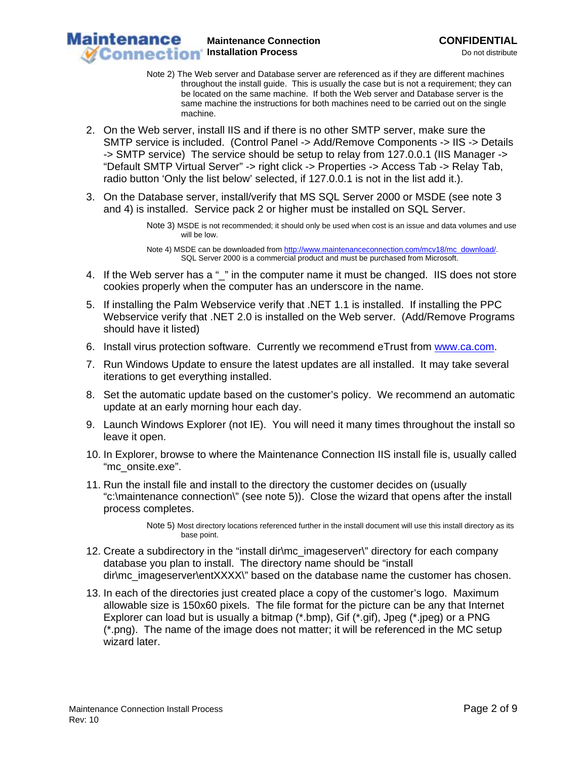**Maintenance Installation Process** Do not distribute

**Maintenance Connection CONFIDENTIAL** 

- Note 2) The Web server and Database server are referenced as if they are different machines throughout the install guide. This is usually the case but is not a requirement; they can be located on the same machine. If both the Web server and Database server is the same machine the instructions for both machines need to be carried out on the single machine.
- 2. On the Web server, install IIS and if there is no other SMTP server, make sure the SMTP service is included. (Control Panel -> Add/Remove Components -> IIS -> Details -> SMTP service) The service should be setup to relay from 127.0.0.1 (IIS Manager -> "Default SMTP Virtual Server" -> right click -> Properties -> Access Tab -> Relay Tab, radio button 'Only the list below' selected, if 127.0.0.1 is not in the list add it.).
- 3. On the Database server, install/verify that MS SQL Server 2000 or MSDE (see note 3 and 4) is installed. Service pack 2 or higher must be installed on SQL Server.

Note 3) MSDE is not recommended; it should only be used when cost is an issue and data volumes and use will be low.

Note 4) MSDE can be downloaded from http://www.maintenanceconnection.com/mcv18/mc\_download/. SQL Server 2000 is a commercial product and must be purchased from Microsoft.

- 4. If the Web server has a "\_" in the computer name it must be changed. IIS does not store cookies properly when the computer has an underscore in the name.
- 5. If installing the Palm Webservice verify that .NET 1.1 is installed. If installing the PPC Webservice verify that .NET 2.0 is installed on the Web server. (Add/Remove Programs should have it listed)
- 6. Install virus protection software. Currently we recommend eTrust from www.ca.com.
- 7. Run Windows Update to ensure the latest updates are all installed. It may take several iterations to get everything installed.
- 8. Set the automatic update based on the customer's policy. We recommend an automatic update at an early morning hour each day.
- 9. Launch Windows Explorer (not IE). You will need it many times throughout the install so leave it open.
- 10. In Explorer, browse to where the Maintenance Connection IIS install file is, usually called "mc\_onsite.exe".
- 11. Run the install file and install to the directory the customer decides on (usually "c:\maintenance connection\" (see note 5)). Close the wizard that opens after the install process completes.

Note 5) Most directory locations referenced further in the install document will use this install directory as its base point.

- 12. Create a subdirectory in the "install dir\mc\_imageserver\" directory for each company database you plan to install. The directory name should be "install dir\mc\_imageserver\entXXXX\" based on the database name the customer has chosen.
- 13. In each of the directories just created place a copy of the customer's logo. Maximum allowable size is 150x60 pixels. The file format for the picture can be any that Internet Explorer can load but is usually a bitmap (\*.bmp), Gif (\*.gif), Jpeg (\*.jpeg) or a PNG (\*.png). The name of the image does not matter; it will be referenced in the MC setup wizard later.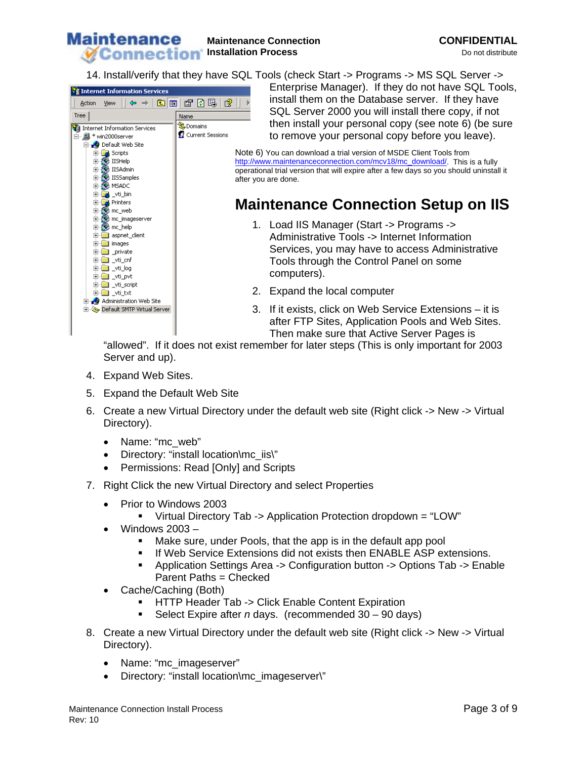

14. Install/verify that they have SQL Tools (check Start -> Programs -> MS SQL Server ->



Enterprise Manager). If they do not have SQL Tools, install them on the Database server. If they have SQL Server 2000 you will install there copy, if not then install your personal copy (see note 6) (be sure to remove your personal copy before you leave).

Note 6) You can download a trial version of MSDE Client Tools from http://www.maintenanceconnection.com/mcv18/mc\_download/. This is a fully operational trial version that will expire after a few days so you should uninstall it after you are done.

# **Maintenance Connection Setup on IIS**

- 1. Load IIS Manager (Start -> Programs -> Administrative Tools -> Internet Information Services, you may have to access Administrative Tools through the Control Panel on some computers).
- 2. Expand the local computer
- 3. If it exists, click on Web Service Extensions it is after FTP Sites, Application Pools and Web Sites. Then make sure that Active Server Pages is

"allowed". If it does not exist remember for later steps (This is only important for 2003 Server and up).

- 4. Expand Web Sites.
- 5. Expand the Default Web Site
- 6. Create a new Virtual Directory under the default web site (Right click -> New -> Virtual Directory).
	- Name: "mc\_web"
	- Directory: "install location\mc\_iis\"
	- Permissions: Read [Only] and Scripts
- 7. Right Click the new Virtual Directory and select Properties
	- Prior to Windows 2003
		- Virtual Directory Tab -> Application Protection dropdown = "LOW"
	- Windows 2003
		- Make sure, under Pools, that the app is in the default app pool
		- **If Web Service Extensions did not exists then ENABLE ASP extensions.**
		- Application Settings Area -> Configuration button -> Options Tab -> Enable Parent Paths = Checked
	- Cache/Caching (Both)
		- HTTP Header Tab -> Click Enable Content Expiration
		- Select Expire after *n* days. (recommended 30 90 days)
- 8. Create a new Virtual Directory under the default web site (Right click -> New -> Virtual Directory).
	- Name: "mc\_imageserver"
	- Directory: "install location\mc\_imageserver\"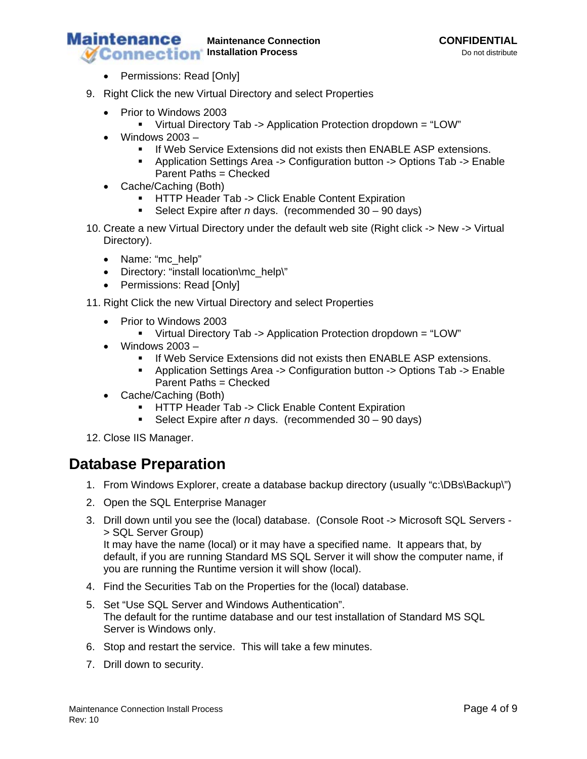#### **Maintenance Maintenance Connection CONFIDENTIAL Installation Process** Do not distribute

- Permissions: Read [Only]
- 9. Right Click the new Virtual Directory and select Properties
	- Prior to Windows 2003
		- Virtual Directory Tab -> Application Protection dropdown = "LOW"
	- Windows 2003
		- **If Web Service Extensions did not exists then ENABLE ASP extensions.**
		- Application Settings Area -> Configuration button -> Options Tab -> Enable Parent Paths = Checked
	- Cache/Caching (Both)
		- **-** HTTP Header Tab -> Click Enable Content Expiration
		- Select Expire after *n* days. (recommended 30 90 days)
- 10. Create a new Virtual Directory under the default web site (Right click -> New -> Virtual Directory).
	- Name: "mc\_help"
	- Directory: "install location\mc\_help\"
	- Permissions: Read [Only]
- 11. Right Click the new Virtual Directory and select Properties
	- Prior to Windows 2003
		- Virtual Directory Tab -> Application Protection dropdown = "LOW"
	- Windows  $2003 -$ 
		- **If Web Service Extensions did not exists then ENABLE ASP extensions.**
		- Application Settings Area -> Configuration button -> Options Tab -> Enable Parent Paths = Checked
	- Cache/Caching (Both)
		- **-** HTTP Header Tab -> Click Enable Content Expiration
		- Select Expire after *n* days. (recommended 30 90 days)
- 12. Close IIS Manager.

## **Database Preparation**

- 1. From Windows Explorer, create a database backup directory (usually "c:\DBs\Backup\")
- 2. Open the SQL Enterprise Manager
- 3. Drill down until you see the (local) database. (Console Root -> Microsoft SQL Servers > SQL Server Group) It may have the name (local) or it may have a specified name. It appears that, by default, if you are running Standard MS SQL Server it will show the computer name, if you are running the Runtime version it will show (local).
- 4. Find the Securities Tab on the Properties for the (local) database.
- 5. Set "Use SQL Server and Windows Authentication". The default for the runtime database and our test installation of Standard MS SQL Server is Windows only.
- 6. Stop and restart the service. This will take a few minutes.
- 7. Drill down to security.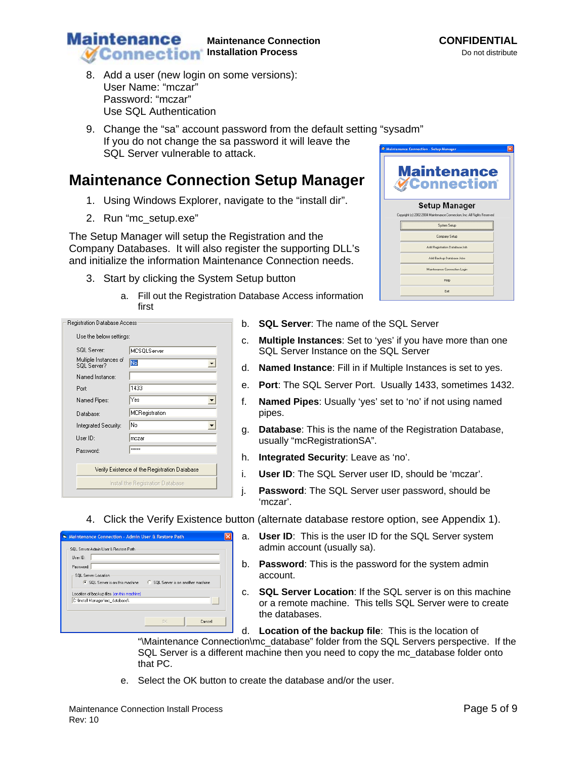Maintenance Connection Install Process **Page 5 of 9** and  $\overline{P}$ Rev: 10

that PC.

- 8. Add a user (new login on some versions): User Name: "mczar" Password: "mczar" Use SQL Authentication
- 9. Change the "sa" account password from the default setting "sysadm" If you do not change the sa password it will leave the SQL Server vulnerable to attack.

# **Maintenance Connection Setup Manager**

- 1. Using Windows Explorer, navigate to the "install dir".
- 2. Run "mc\_setup.exe"

The Setup Manager will setup the Registration and the Company Databases. It will also register the supporting DLL's and initialize the information Maintenance Connection needs.

- 3. Start by clicking the System Setup button
	- a. Fill out the Registration Database Access information first
- **Registration Database Access** Use the below settings: SQL Server: MCSOLServer Multiple Instances of  $\overline{\overline{\text{No}}}$  $\overline{\phantom{a}}$ SQL Server? Named Instance:  $\sqrt{1433}$ Port:  $\sqrt{Yes}$ Named Pipes:  $\overline{\phantom{0}}$ MCRegistration Database: Integrated Security: No  $\overline{\phantom{a}}$ User ID:  $rac{1}{2}$  $x \times x \times x$ Password: Verify Existence of the Registration Database Install the Registration Database
- b. **SQL Server**: The name of the SQL Server
- c. **Multiple Instances**: Set to 'yes' if you have more than one SQL Server Instance on the SQL Server
- d. **Named Instance**: Fill in if Multiple Instances is set to yes.
- e. **Port**: The SQL Server Port. Usually 1433, sometimes 1432.
- f. **Named Pipes**: Usually 'yes' set to 'no' if not using named pipes.
- g. **Database**: This is the name of the Registration Database, usually "mcRegistrationSA".
- h. **Integrated Security**: Leave as 'no'.

admin account (usually sa).

"\Maintenance Connection\mc\_database" folder from the SQL Servers perspective. If the SQL Server is a different machine then you need to copy the mc\_database folder onto

- i. **User ID**: The SQL Server user ID, should be 'mczar'.
- j. **Password**: The SQL Server user password, should be 'mczar'.

a. **User ID**: This is the user ID for the SQL Server system

b. **Password**: This is the password for the system admin

d. **Location of the backup file**: This is the location of

c. **SQL Server Location**: If the SQL server is on this machine or a remote machine. This tells SQL Server were to create

### 4. Click the Verify Existence button (alternate database restore option, see Appendix 1).

account.

e. Select the OK button to create the database and/or the user.

the databases.

| Maintenance Connection - Admin User & Restore Path                                    |                                  |  |
|---------------------------------------------------------------------------------------|----------------------------------|--|
| SQL Server Admin User & Restore Path<br>Liser ID:<br>Password:<br>SQL Server Location |                                  |  |
| ● SQL Server is on this machine<br>Location of backup files (on this machine)         | SQL Server is on another machine |  |
| C:\Install Manager\mc_database\                                                       | $\rightarrow$                    |  |
|                                                                                       | Cancel<br><b>DK</b>              |  |

| Maintenance Connection - Setup Manager                                                           |  |
|--------------------------------------------------------------------------------------------------|--|
| <b>Maintenance</b><br><b>WConnection</b>                                                         |  |
| <b>Setup Manager</b><br>Copyright [c] 2002-2004 Maintenance Connection, Inc. All Rights Reserved |  |
|                                                                                                  |  |
| System Setup                                                                                     |  |
| Company Setup                                                                                    |  |
| Add Registration Database Job                                                                    |  |
| Add Backup Database Jobs                                                                         |  |
| Maintenance Connection Login                                                                     |  |
| Help                                                                                             |  |
| Exit                                                                                             |  |

#### **Maintenance Maintenance Connection CONFIDENTIAL Installation Process** Do not distribute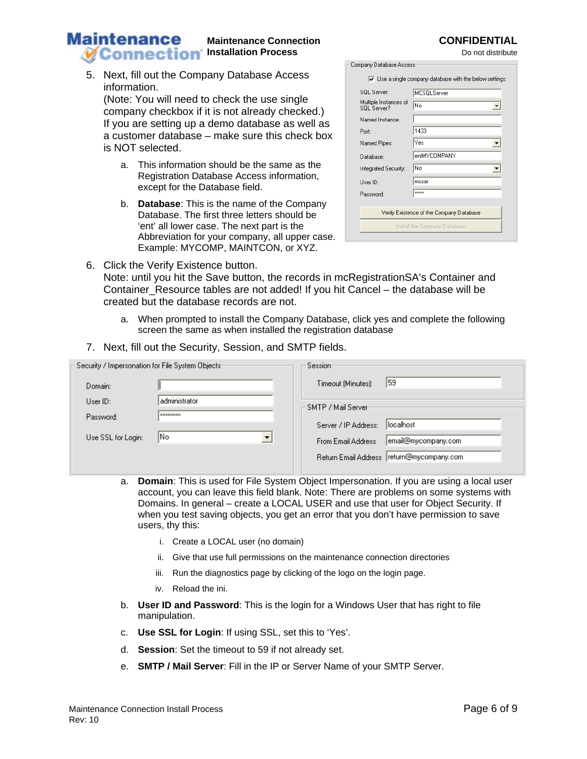# Maintenance Connection Install Process **Page 6 of 9** and  $P$  and  $P$  and  $P$  and  $P$  and  $P$  and  $P$  and  $P$  and  $P$  and  $P$  and  $P$  and  $P$  and  $P$  and  $P$  and  $P$  and  $P$  and  $P$  and  $P$  and  $P$  and  $P$  and  $P$  and  $P$  a

#### **Maintenance Maintenance Connection CONFIDENTIAL Installation Process** Do not distribute

5. Next, fill out the Company Database Access information. (Note: You will need to check the use single

company checkbox if it is not already checked.) If you are setting up a demo database as well as a customer database – make sure this check box is NOT selected.

- a. This information should be the same as the Registration Database Access information, except for the Database field.
- b. **Database**: This is the name of the Company Database. The first three letters should be 'ent' all lower case. The next part is the Abbreviation for your company, all upper case. Example: MYCOMP, MAINTCON, or XYZ.
- 6. Click the Verify Existence button. Note: until you hit the Save button, the records in mcRegistrationSA's Container and Container\_Resource tables are not added! If you hit Cancel – the database will be created but the database records are not.
	- a. When prompted to install the Company Database, click yes and complete the following screen the same as when installed the registration database
- 7. Next, fill out the Security, Session, and SMTP fields.

| Security / Impersonation for File System Objects: | Session:                                     |
|---------------------------------------------------|----------------------------------------------|
| Domain:                                           | 159<br>Timeout (Minutes):                    |
| administrator <br>Use <sub>1D</sub> :             | SMTP / Mail Server                           |
| <b>xxxxxxxx</b><br>Password:                      | llocalhost<br>Server / IP Address:           |
| lNo.<br>Use SSL for Login:                        | email@mycompany.com<br>From Email Address    |
|                                                   | return@mycompany.com<br>Return Email Address |

- a. **Domain**: This is used for File System Object Impersonation. If you are using a local user account, you can leave this field blank. Note: There are problems on some systems with Domains. In general – create a LOCAL USER and use that user for Object Security. If when you test saving objects, you get an error that you don't have permission to save users, thy this:
	- i. Create a LOCAL user (no domain)
	- ii. Give that use full permissions on the maintenance connection directories
	- iii. Run the diagnostics page by clicking of the logo on the login page.
	- iv. Reload the ini.
- b. **User ID and Password**: This is the login for a Windows User that has right to file manipulation.
- c. **Use SSL for Login**: If using SSL, set this to 'Yes'.
- d. **Session**: Set the timeout to 59 if not already set.
- e. **SMTP / Mail Server**: Fill in the IP or Server Name of your SMTP Server.

| ompany Database Access.                                                        |                              |  |
|--------------------------------------------------------------------------------|------------------------------|--|
| $\overline{\mathbf{v}}$ Use a single company database with the below settings: |                              |  |
| SQL Server:                                                                    | MCSQLServer                  |  |
| Multiple Instances of<br>SQL Server?                                           | No                           |  |
| Named Instance:                                                                |                              |  |
| Port:                                                                          | 1433                         |  |
| Named Pipes:                                                                   | Yes                          |  |
| Database:                                                                      | entMYCOMPANY                 |  |
| Integrated Security:                                                           | No                           |  |
| Hser ID:                                                                       | mczar                        |  |
| Password:                                                                      | <b>xxxxxx</b>                |  |
|                                                                                |                              |  |
| Verify Existence of the Company Database                                       |                              |  |
|                                                                                | Install the Company Database |  |
|                                                                                |                              |  |

 $R = 1$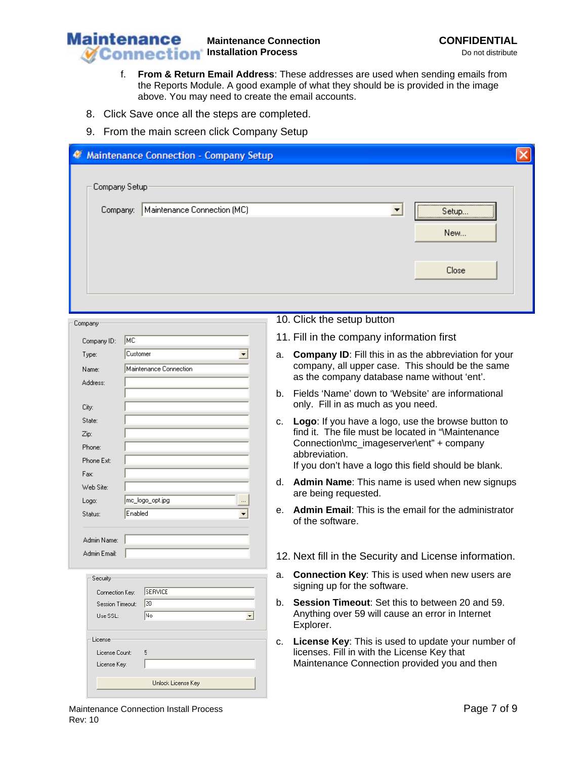

- f. **From & Return Email Address**: These addresses are used when sending emails from the Reports Module. A good example of what they should be is provided in the image above. You may need to create the email accounts.
- 8. Click Save once all the steps are completed.
- 9. From the main screen click Company Setup

| <b>Maintenance Connection - Company Setup</b>                               |                                                                                                                                                                                                                                    |  |
|-----------------------------------------------------------------------------|------------------------------------------------------------------------------------------------------------------------------------------------------------------------------------------------------------------------------------|--|
| Company Setup<br>Maintenance Connection (MC)<br>Company:                    | $\blacktriangledown$<br>Setup<br>New                                                                                                                                                                                               |  |
|                                                                             | Close                                                                                                                                                                                                                              |  |
| Company                                                                     | 10. Click the setup button                                                                                                                                                                                                         |  |
| MC<br>Company ID:                                                           | 11. Fill in the company information first                                                                                                                                                                                          |  |
| Customer<br>Type:<br>Maintenance Connection<br>Name:<br>Address:            | <b>Company ID:</b> Fill this in as the abbreviation for your<br>a.<br>company, all upper case. This should be the same<br>as the company database name without 'ent'.                                                              |  |
| City:                                                                       | Fields 'Name' down to 'Website' are informational<br>b.<br>only. Fill in as much as you need.                                                                                                                                      |  |
| State:<br>Zip:<br>Phone:<br>Phone Ext:                                      | Logo: If you have a logo, use the browse button to<br>C.<br>find it. The file must be located in "Maintenance<br>Connection\mc_imageserver\ent" + company<br>abbreviation.<br>If you don't have a logo this field should be blank. |  |
| Fax:<br>Web Site:<br> mc_logo_opt.jpg                                       | Admin Name: This name is used when new signups<br>d.<br>are being requested.                                                                                                                                                       |  |
| Logo:<br>Enabled<br>Status:<br>$\overline{\phantom{a}}$<br>Admin Name:      | Admin Email: This is the email for the administrator<br>е.<br>of the software.                                                                                                                                                     |  |
| Admin Email:                                                                | 12. Next fill in the Security and License information.                                                                                                                                                                             |  |
| Security<br>SERVICE<br>Connection Key:                                      | Connection Key: This is used when new users are<br>a.<br>signing up for the software.                                                                                                                                              |  |
| $ 20\rangle$<br>Session Timeout:<br> No<br>Use SSL:<br>$\blacktriangledown$ | Session Timeout: Set this to between 20 and 59.<br>b.<br>Anything over 59 will cause an error in Internet<br>Explorer.                                                                                                             |  |
| License<br>5<br>License Count:<br>License Key:                              | License Key: This is used to update your number of<br>с.<br>licenses. Fill in with the License Key that<br>Maintenance Connection provided you and then                                                                            |  |
| Unlock License Key                                                          |                                                                                                                                                                                                                                    |  |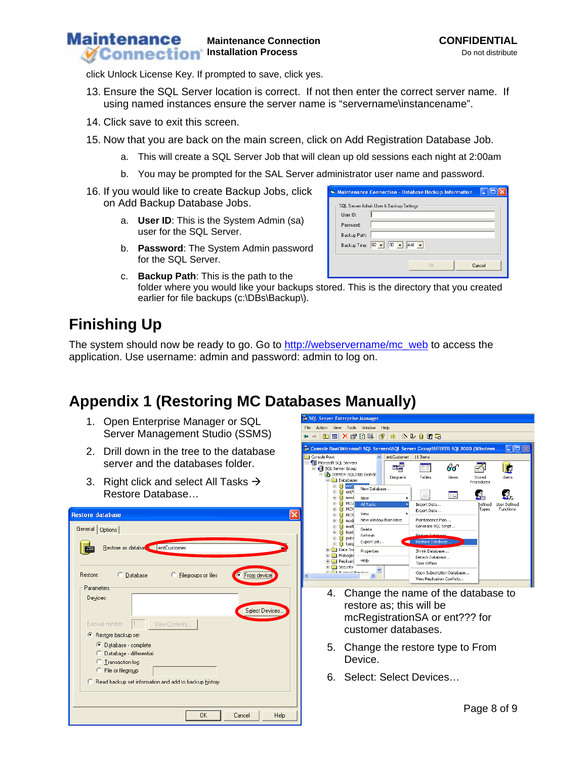#### **Maintenance Maintenance Connection CONFIDENTIAL Installation Process** Do not distribute

click Unlock License Key. If prompted to save, click yes.

- 13. Ensure the SQL Server location is correct. If not then enter the correct server name. If using named instances ensure the server name is "servername\instancename".
- 14. Click save to exit this screen.
- 15. Now that you are back on the main screen, click on Add Registration Database Job.
	- a. This will create a SQL Server Job that will clean up old sessions each night at 2:00am
	- b. You may be prompted for the SAL Server administrator user name and password.
- 16. If you would like to create Backup Jobs, click on Add Backup Database Jobs.
	- a. **User ID**: This is the System Admin (sa) user for the SQL Server.
	- b. **Password**: The System Admin password for the SQL Server.

| <b>Maintenance Connection - Database Backup Information</b>                                                                        |  |
|------------------------------------------------------------------------------------------------------------------------------------|--|
| SQL Server Admin User & Backup Settings<br>Liser ID:<br>Password:<br>Backup Path:<br>Backup Time: $02 - 100 - 100$ M $\rightarrow$ |  |
| <b>OK</b><br>Cancel                                                                                                                |  |

c. **Backup Path**: This is the path to the folder where you would like your backups stored. This is the directory that you created earlier for file backups (c:\DBs\Backup\).

# **Finishing Up**

The system should now be ready to go. Go to http://webservername/mc\_web to access the application. Use username: admin and password: admin to log on.

# **Appendix 1 (Restoring MC Databases Manually)**

- 1. Open Enterprise Manager or SQL Server Management Studio (SSMS)
- 2. Drill down in the tree to the database server and the databases folder.
- 3. Right click and select All Tasks  $\rightarrow$ Restore Database…

| <b>Restore database</b>                                                                                                                                                 |
|-------------------------------------------------------------------------------------------------------------------------------------------------------------------------|
| General<br>Options                                                                                                                                                      |
| Restore as databate entCustomer                                                                                                                                         |
| <br>Restore:<br>Elegroups or files<br>© <u>D</u> atabase<br>From device                                                                                                 |
| Parameters                                                                                                                                                              |
| Devices:<br>Select Devices<br>Backup number:<br>View Contents<br>l1                                                                                                     |
| Restore backup set<br>G.                                                                                                                                                |
| G.<br>Database - complete<br>Database - differential<br>C<br>Iransaction log<br>C<br>File or filegroup<br>C.<br>C Read backup set information and add to backup history |
| Cancel<br><b>OK</b><br>Help                                                                                                                                             |



- 4. Change the name of the database to restore as; this will be mcRegistrationSA or ent??? for customer databases.
- 5. Change the restore type to From Device.
- 6. Select: Select Devices…